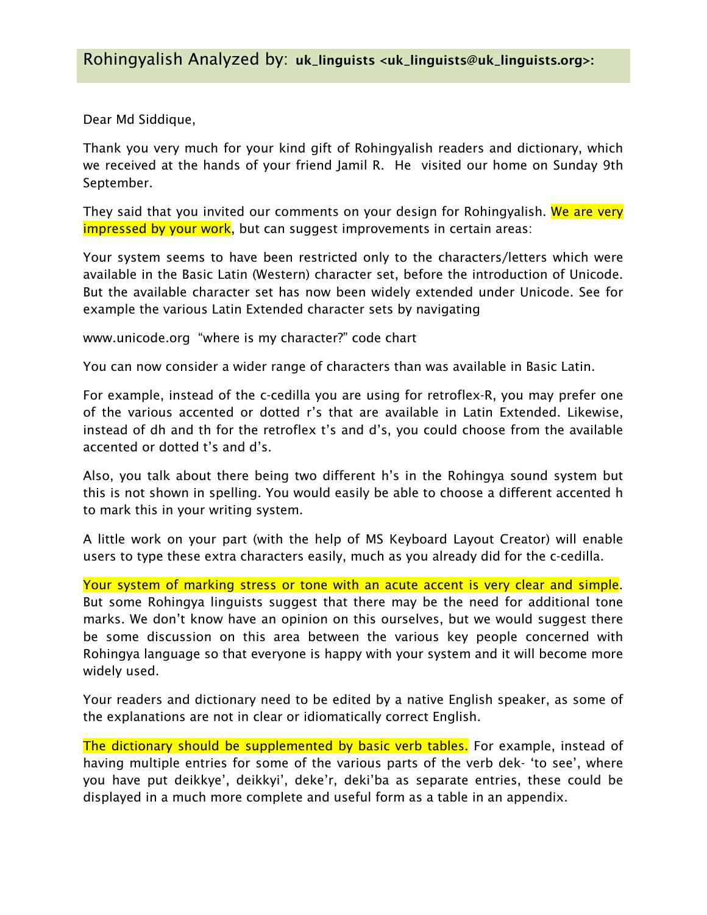Dear Md Siddique,

Thank you very much for your kind gift of Rohingyalish readers and dictionary, which we received at the hands of your friend Jamil R. He visited our home on Sunday 9th September.

They said that you invited our comments on your design for Rohingyalish. We are very impressed by your work, but can suggest improvements in certain areas:

Your system seems to have been restricted only to the characters/letters which were available in the Basic Latin (Western) character set, before the introduction of Unicode. But the available character set has now been widely extended under Unicode. See for example the various Latin Extended character sets by navigating

www.unicode.org "where is my character?" code chart

You can now consider a wider range of characters than was available in Basic Latin.

For example, instead of the c-cedilla you are using for retroflex-R, you may prefer one of the various accented or dotted r's that are available in Latin Extended. Likewise, instead of dh and th for the retroflex t's and d's, you could choose from the available accented or dotted t's and d's.

Also, you talk about there being two different h's in the Rohingya sound system but this is not shown in spelling. You would easily be able to choose a different accented h to mark this in your writing system.

A little work on your part (with the help of MS Keyboard Layout Creator) will enable users to type these extra characters easily, much as you already did for the c-cedilla.

Your system of marking stress or tone with an acute accent is very clear and simple. But some Rohingya linguists suggest that there may be the need for additional tone marks. We don't know have an opinion on this ourselves, but we would suggest there be some discussion on this area between the various key people concerned with Rohingya language so that everyone is happy with your system and it will become more widely used.

Your readers and dictionary need to be edited by a native English speaker, as some of the explanations are not in clear or idiomatically correct English.

The dictionary should be supplemented by basic verb tables. For example, instead of having multiple entries for some of the various parts of the verb dek- 'to see', where you have put deikkye', deikkyi', deke'r, deki'ba as separate entries, these could be displayed in a much more complete and useful form as a table in an appendix.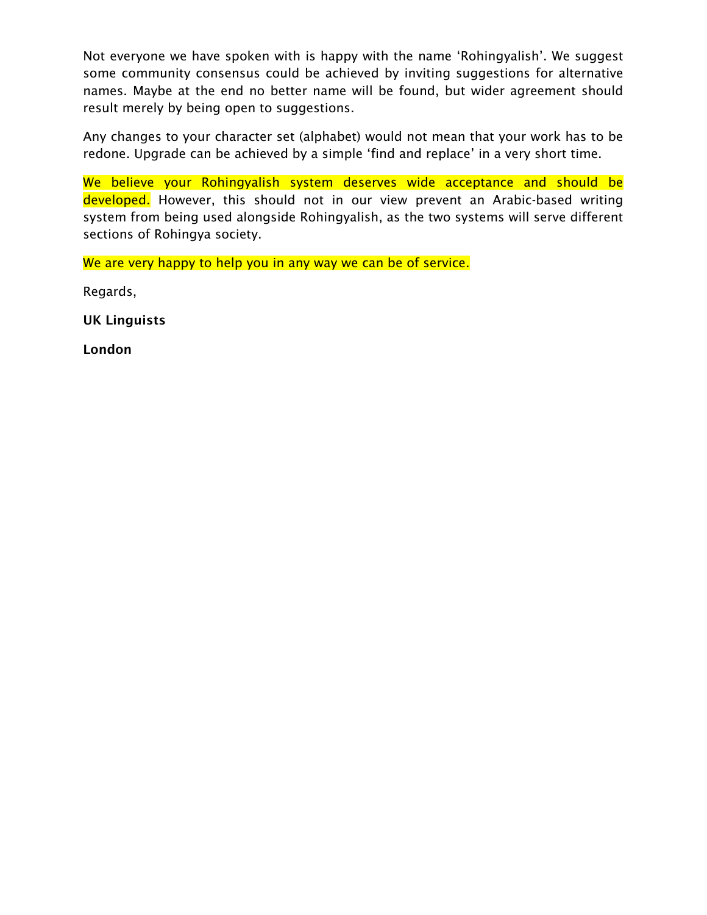Not everyone we have spoken with is happy with the name 'Rohingyalish'. We suggest some community consensus could be achieved by inviting suggestions for alternative names. Maybe at the end no better name will be found, but wider agreement should result merely by being open to suggestions.

Any changes to your character set (alphabet) would not mean that your work has to be redone. Upgrade can be achieved by a simple 'find and replace' in a very short time.

We believe your Rohingyalish system deserves wide acceptance and should be developed. However, this should not in our view prevent an Arabic-based writing system from being used alongside Rohingyalish, as the two systems will serve different sections of Rohingya society.

We are very happy to help you in any way we can be of service.

Regards,

UK Linguists

London